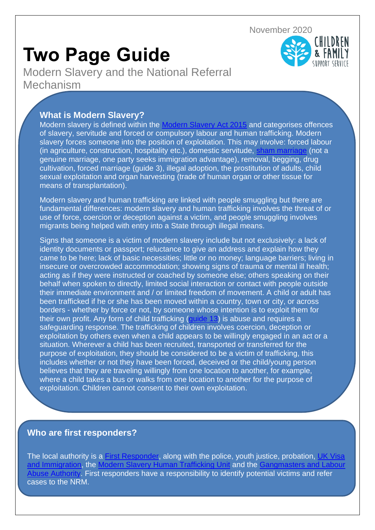November 2020

## **Two Page Guide**

Modern Slavery and the National Referral Mechanism

## **What is Modern Slavery?**

Modern slavery is defined within the [Modern Slavery Act 2015](http://www.legislation.gov.uk/ukpga/2015/30/contents/enacted) and categorises offences of slavery, servitude and forced or compulsory labour and human trafficking. Modern slavery forces someone into the position of exploitation. This may involve: forced labour (in agriculture, construction, hospitality etc.), domestic servitude, [sham marriage](https://assets.publishing.service.gov.uk/government/uploads/system/uploads/attachment_data/file/846190/criminal-investigations-sham-marriage-v2.0-ext.pdf) (not a genuine marriage, one party seeks immigration advantage), removal, begging, drug cultivation, forced marriage (guide 3), illegal adoption, the prostitution of adults, child sexual exploitation and organ harvesting (trade of human organ or other tissue for means of transplantation).

Modern slavery and human trafficking are linked with people smuggling but there are fundamental differences: modern slavery and human trafficking involves the threat of or use of force, coercion or deception against a victim, and people smuggling involves migrants being helped with entry into a State through illegal means.

Signs that someone is a victim of modern slavery include but not exclusively: a lack of identity documents or passport; reluctance to give an address and explain how they came to be here; lack of basic necessities; little or no money; language barriers; living in insecure or overcrowded accommodation; showing signs of trauma or mental ill health; acting as if they were instructed or coached by someone else; others speaking on their behalf when spoken to directly, limited social interaction or contact with people outside their immediate environment and / or limited freedom of movement. A child or adult has been trafficked if he or she has been moved within a country, town or city, or across borders - whether by force or not, by someone whose intention is to exploit them for their own profit. Any form of child trafficking [\(guide](https://api.warwickshire.gov.uk/documents/WCCC-1642278725-4671) 13) is abuse and requires a safeguarding response. The trafficking of children involves coercion, deception or exploitation by others even when a child appears to be willingly engaged in an act or a situation. Wherever a child has been recruited, transported or transferred for the purpose of exploitation, they should be considered to be a victim of trafficking, this includes whether or not they have been forced, deceived or the child/young person believes that they are traveling willingly from one location to another, for example, where a child takes a bus or walks from one location to another for the purpose of exploitation. Children cannot consent to their own exploitation.

## **Who are first responders?**

The local authority is a [First Responder,](https://assets.publishing.service.gov.uk/government/uploads/system/uploads/attachment_data/file/510091/NRM_-_guidance_for_child_first_responders_v2.0_EXT.PDF) along with the police, youth justice, probation, UK Visa [and Immigration,](https://www.gov.uk/browse/visas-immigration) the [Modern Slavery Human Trafficking Unit](http://www.nationalcrimeagency.gov.uk/about-us/what-we-do/specialist-capabilities/uk-human-trafficking-centre) and the [Gangmasters and Labour](http://www.gla.gov.uk/)  [Abuse Authority.](http://www.gla.gov.uk/) First responders have a responsibility to identify potential victims and refer cases to the NRM.